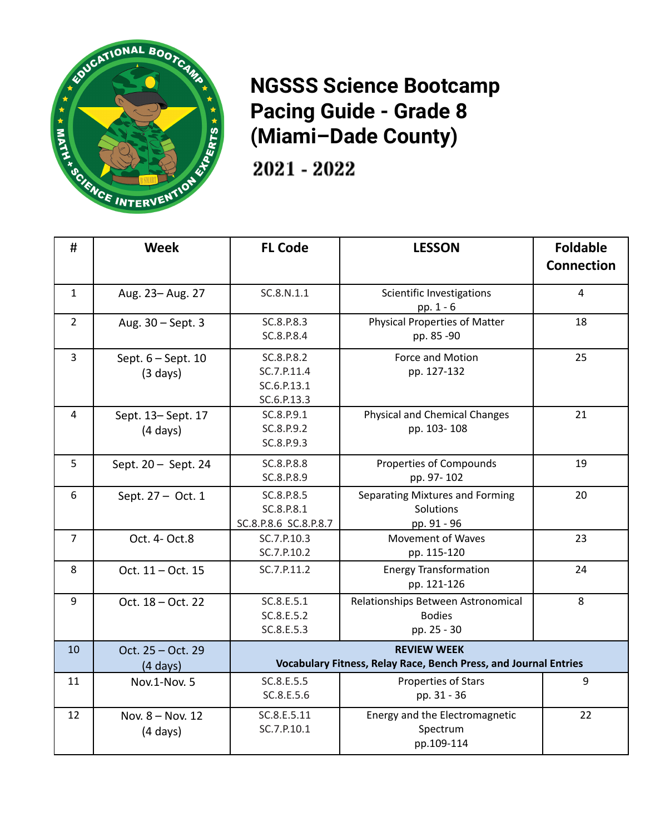

**NGSSS Science Bootcamp Pacing Guide - Grade 8 (Miami–Dade County)**

2021 - 2022

| #              | <b>Week</b>                              | <b>FL Code</b>                                                                         | <b>LESSON</b>                                                      | <b>Foldable</b><br><b>Connection</b> |
|----------------|------------------------------------------|----------------------------------------------------------------------------------------|--------------------------------------------------------------------|--------------------------------------|
| $\mathbf{1}$   | Aug. 23-Aug. 27                          | SC.8.N.1.1                                                                             | Scientific Investigations<br>pp. 1 - 6                             | $\overline{4}$                       |
| $\overline{2}$ | Aug. 30 - Sept. 3                        | SC.8.P.8.3<br>SC.8.P.8.4                                                               | <b>Physical Properties of Matter</b><br>pp. 85 -90                 | 18                                   |
| 3              | Sept. 6 - Sept. 10<br>$(3 \text{ days})$ | SC.8.P.8.2<br>SC.7.P.11.4<br>SC.6.P.13.1<br>SC.6.P.13.3                                | Force and Motion<br>pp. 127-132                                    | 25                                   |
| 4              | Sept. 13-Sept. 17<br>$(4 \text{ days})$  | SC.8.P.9.1<br>SC.8.P.9.2<br>SC.8.P.9.3                                                 | <b>Physical and Chemical Changes</b><br>pp. 103-108                | 21                                   |
| 5              | Sept. $20 -$ Sept. 24                    | SC.8.P.8.8<br>SC.8.P.8.9                                                               | Properties of Compounds<br>pp. 97-102                              | 19                                   |
| 6              | Sept. 27 - Oct. 1                        | SC.8.P.8.5<br>SC.8.P.8.1<br>SC.8.P.8.6 SC.8.P.8.7                                      | Separating Mixtures and Forming<br>Solutions<br>pp. 91 - 96        | 20                                   |
| $\overline{7}$ | Oct. 4- Oct.8                            | SC.7.P.10.3<br>SC.7.P.10.2                                                             | <b>Movement of Waves</b><br>pp. 115-120                            | 23                                   |
| 8              | Oct. 11 - Oct. 15                        | SC.7.P.11.2                                                                            | <b>Energy Transformation</b><br>pp. 121-126                        | 24                                   |
| 9              | Oct. 18 - Oct. 22                        | SC.8.E.5.1<br>SC.8.E.5.2<br>SC.8.E.5.3                                                 | Relationships Between Astronomical<br><b>Bodies</b><br>pp. 25 - 30 | 8                                    |
| 10             | Oct. 25 - Oct. 29<br>$(4 \text{ days})$  | <b>REVIEW WEEK</b><br>Vocabulary Fitness, Relay Race, Bench Press, and Journal Entries |                                                                    |                                      |
| 11             | Nov.1-Nov. 5                             | SC.8.E.5.5<br>SC.8.E.5.6                                                               | <b>Properties of Stars</b><br>pp. 31 - 36                          | 9                                    |
| 12             | Nov. 8 - Nov. 12<br>$(4 \text{ days})$   | SC.8.E.5.11<br>SC.7.P.10.1                                                             | Energy and the Electromagnetic<br>Spectrum<br>pp.109-114           | 22                                   |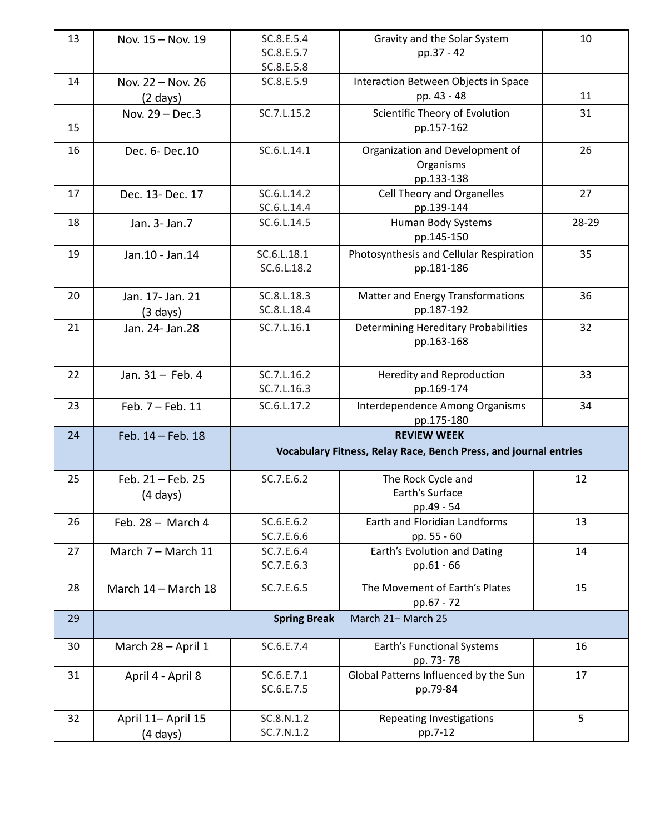| 13 | Nov. 15 - Nov. 19   | SC.8.E.5.4                                                       | Gravity and the Solar System            | 10    |
|----|---------------------|------------------------------------------------------------------|-----------------------------------------|-------|
|    |                     | SC.8.E.5.7                                                       | pp.37 - 42                              |       |
|    |                     | SC.8.E.5.8                                                       |                                         |       |
| 14 | Nov. 22 - Nov. 26   | SC.8.E.5.9                                                       | Interaction Between Objects in Space    |       |
|    | $(2 \text{ days})$  |                                                                  | pp. 43 - 48                             | 11    |
|    | Nov. 29 - Dec.3     | SC.7.L.15.2                                                      | Scientific Theory of Evolution          | 31    |
| 15 |                     |                                                                  | pp.157-162                              |       |
| 16 | Dec. 6- Dec. 10     | SC.6.L.14.1                                                      | Organization and Development of         | 26    |
|    |                     |                                                                  | Organisms                               |       |
|    |                     |                                                                  | pp.133-138                              |       |
| 17 | Dec. 13- Dec. 17    | SC.6.L.14.2                                                      | Cell Theory and Organelles              | 27    |
|    |                     | SC.6.L.14.4                                                      | pp.139-144                              |       |
| 18 | Jan. 3- Jan. 7      | SC.6.L.14.5                                                      | Human Body Systems                      | 28-29 |
|    |                     |                                                                  | pp.145-150                              |       |
| 19 | Jan.10 - Jan.14     | SC.6.L.18.1                                                      | Photosynthesis and Cellular Respiration | 35    |
|    |                     | SC.6.L.18.2                                                      | pp.181-186                              |       |
|    |                     |                                                                  |                                         |       |
| 20 | Jan. 17- Jan. 21    | SC.8.L.18.3                                                      | Matter and Energy Transformations       | 36    |
|    | (3 days)            | SC.8.L.18.4                                                      | pp.187-192                              |       |
| 21 | Jan. 24- Jan. 28    | SC.7.L.16.1                                                      | Determining Hereditary Probabilities    | 32    |
|    |                     |                                                                  | pp.163-168                              |       |
|    |                     |                                                                  |                                         |       |
| 22 | Jan. 31 - Feb. 4    | SC.7.L.16.2                                                      | Heredity and Reproduction               | 33    |
|    |                     | SC.7.L.16.3                                                      | pp.169-174                              |       |
| 23 | Feb. 7 - Feb. 11    | SC.6.L.17.2                                                      | Interdependence Among Organisms         | 34    |
|    |                     |                                                                  | pp.175-180                              |       |
| 24 | Feb. 14 - Feb. 18   |                                                                  | <b>REVIEW WEEK</b>                      |       |
|    |                     | Vocabulary Fitness, Relay Race, Bench Press, and journal entries |                                         |       |
|    |                     |                                                                  |                                         |       |
| 25 | Feb. 21 - Feb. 25   | SC.7.E.6.2                                                       | The Rock Cycle and                      | 12    |
|    | $(4 \text{ days})$  |                                                                  | Earth's Surface                         |       |
|    |                     |                                                                  | pp.49 - 54                              |       |
| 26 | Feb. $28 -$ March 4 | SC.6.E.6.2                                                       | Earth and Floridian Landforms           | 13    |
|    |                     | SC.7.E.6.6                                                       | pp. 55 - 60                             |       |
| 27 | March 7 - March 11  | SC.7.E.6.4                                                       | Earth's Evolution and Dating            | 14    |
|    |                     | SC.7.E.6.3                                                       | pp.61 - 66                              |       |
| 28 | March 14 - March 18 | SC.7.E.6.5                                                       | The Movement of Earth's Plates          | 15    |
|    |                     |                                                                  | pp.67 - 72                              |       |
| 29 |                     | <b>Spring Break</b>                                              | March 21- March 25                      |       |
|    |                     |                                                                  |                                         |       |
| 30 | March 28 - April 1  | SC.6.E.7.4                                                       | Earth's Functional Systems              | 16    |
|    |                     |                                                                  | pp. 73-78                               |       |
| 31 | April 4 - April 8   | SC.6.E.7.1                                                       | Global Patterns Influenced by the Sun   | 17    |
|    |                     | SC.6.E.7.5                                                       | pp.79-84                                |       |
|    |                     |                                                                  |                                         |       |
| 32 | April 11- April 15  | SC.8.N.1.2                                                       | Repeating Investigations                | 5     |
|    | (4 days)            | SC.7.N.1.2                                                       | pp.7-12                                 |       |